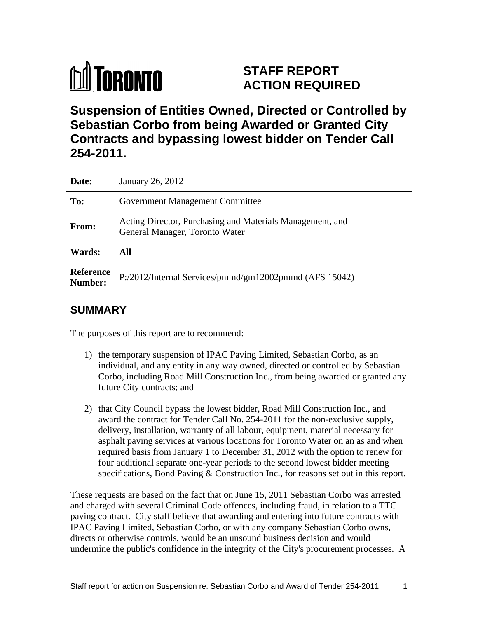# **M** TORONTO

# **STAFF REPORT ACTION REQUIRED**

**Suspension of Entities Owned, Directed or Controlled by Sebastian Corbo from being Awarded or Granted City Contracts and bypassing lowest bidder on Tender Call 254-2011.**

| Date:                | January 26, 2012                                                                            |
|----------------------|---------------------------------------------------------------------------------------------|
| To:                  | <b>Government Management Committee</b>                                                      |
| <b>From:</b>         | Acting Director, Purchasing and Materials Management, and<br>General Manager, Toronto Water |
| <b>Wards:</b>        | All                                                                                         |
| Reference<br>Number: | P:/2012/Internal Services/pmmd/gm12002pmmd (AFS 15042)                                      |

# **SUMMARY**

The purposes of this report are to recommend:

- 1) the temporary suspension of IPAC Paving Limited, Sebastian Corbo, as an individual, and any entity in any way owned, directed or controlled by Sebastian Corbo, including Road Mill Construction Inc., from being awarded or granted any future City contracts; and the state of the state of the state of the state of the state of the state of the state of the state of the state of the state of the state of the state of the state of the state of the state of
- 2) that City Council bypass the lowest bidder, Road Mill Construction Inc., and award the contract for Tender Call No. 254-2011 for the non-exclusive supply, delivery, installation, warranty of all labour, equipment, material necessary for asphalt paving services at various locations for Toronto Water on an as and when required basis from January 1 to December 31, 2012 with the option to renew for four additional separate one-year periods to the second lowest bidder meeting

specifications, Bond Paving & Construction Inc., for reasons set out in this report. These requests are based on the fact that on June 15, 2011 Sebastian Corbo was arrested and charged with several Criminal Code offences, including fraud, in relation to a TTC paving contract. City staff believe that awarding and entering into future contracts with IPAC Paving Limited, Sebastian Corbo, or with any company Sebastian Corbo owns, directs or otherwise controls, would be an unsound business decision and would undermine the public's confidence in the integrity of the City's procurement processes. A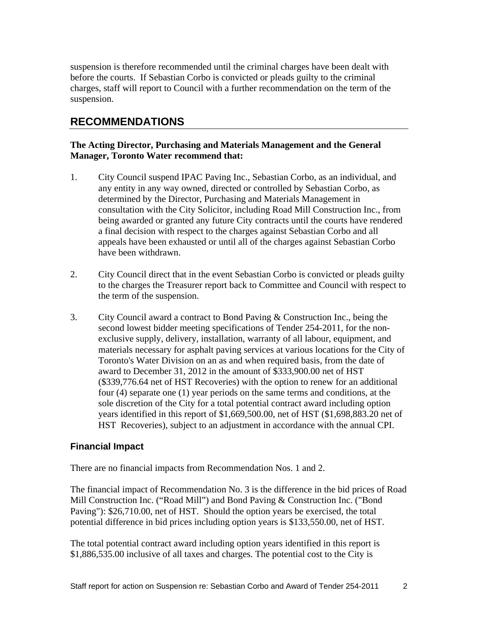suspension is therefore recommended until the criminal charges have been dealt with before the courts. If Sebastian Corbo is convicted or pleads guilty to the criminal charges, staff will report to Council with a further recommendation on the term of the suspension.

# **RECOMMENDATIONS**

#### **The Acting Director, Purchasing and Materials Management and the General Manager, Toronto Water recommend that:**

- 1. City Council suspend IPAC Paving Inc., Sebastian Corbo, as an individual, and any entity in any way owned, directed or controlled by Sebastian Corbo, as determined by the Director, Purchasing and Materials Management in consultation with the City Solicitor, including Road Mill Construction Inc., from being awarded or granted any future City contracts until the courts have rendered a final decision with respect to the charges against Sebastian Corbo and all appeals have been exhausted or until all of the charges against Sebastian Corbo have been withdrawn.
- 2. City Council direct that in the event Sebastian Corbo is convicted or pleads guilty to the charges the Treasurer report back to Committee and Council with respect to the term of the suspension.
- 3. City Council award a contract to Bond Paving & Construction Inc., being the second lowest bidder meeting specifications of Tender 254-2011, for the non exclusive supply, delivery, installation, warranty of all labour, equipment, and materials necessary for asphalt paving services at various locations for the City of Toronto's Water Division on an as and when required basis, from the date of award to December 31, 2012 in the amount of \$333,900.00 net of HST (\$339,776.64 net of HST Recoveries) with the option to renew for an additional four (4) separate one (1) year periods on the same terms and conditions, at the sole discretion of the City for a total potential contract award including option years identified in this report of \$1,669,500.00, net of HST (\$1,698,883.20 net of HST Recoveries), subject to an adjustment in accordance with the annual CPI.

#### **Financial Impact**

There are no financial impacts from Recommendation Nos. 1 and 2.

The financial impact of Recommendation No. 3 is the difference in the bid prices of Road Mill Construction Inc. ("Road Mill") and Bond Paving & Construction Inc. ("Bond Paving"): \$26,710.00, net of HST. Should the option years be exercised, the total potential difference in bid prices including option years is \$133,550.00, net of HST.

The total potential contract award including option years identified in this report is \$1,886,535.00 inclusive of all taxes and charges. The potential cost to the City is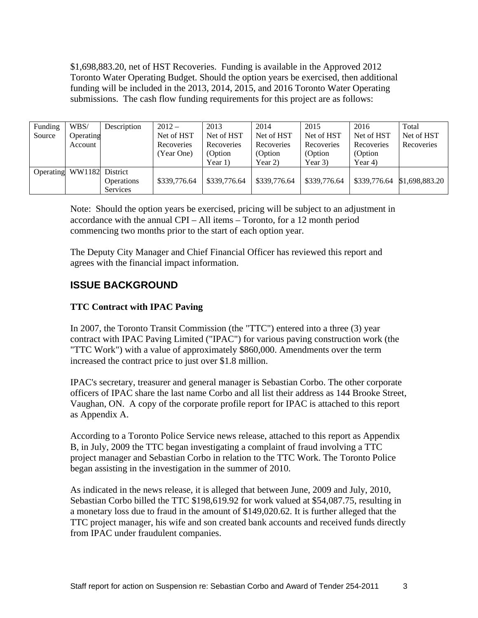\$1,698,883.20, net of HST Recoveries. Funding is available in the Approved 2012 Toronto Water Operating Budget. Should the option years be exercised, then additional funding will be included in the 2013, 2014, 2015, and 2016 Toronto Water Operating submissions. The cash flow funding requirements for this project are as follows:

| Funding<br>Source | WBS/<br>Description<br>Operating<br>Account                                                                                                                                                                                                                                                                                                                                                                           | $2012 -$<br>Net of HST<br>Recoveries<br>(Year One) | 2013<br>Net of HST<br>Recoveries<br>(Option<br>Year $1)$ | 2014<br>Net of HST<br>Recoveries<br>(Option<br>Year $2)$                                 | 2015<br>Net of HST<br>Recoveries<br>(Option<br>Year $3)$ | 2016<br>Net of HST<br>Recoveries<br>(Option<br>Year 4) | Total<br>Net of HST<br>Recoveries |
|-------------------|-----------------------------------------------------------------------------------------------------------------------------------------------------------------------------------------------------------------------------------------------------------------------------------------------------------------------------------------------------------------------------------------------------------------------|----------------------------------------------------|----------------------------------------------------------|------------------------------------------------------------------------------------------|----------------------------------------------------------|--------------------------------------------------------|-----------------------------------|
|                   | Operating WW1182 District<br>Operations<br>Services                                                                                                                                                                                                                                                                                                                                                                   |                                                    |                                                          | $$339,776.64$   \$339,776.64   \$339,776.64   \$339,776.64   \$339,776.64 \$1,698,883.20 |                                                          |                                                        |                                   |
|                   | Note: Should the option years be exercised, pricing will be subject to an adjustment in<br>accordance with the annual CPI $-$ All items $-$ Toronto, for a 12 month period<br>commencing two months prior to the start of each option year.<br>The Deputy City Manager and Chief Financial Officer has reviewed this report and                                                                                       |                                                    |                                                          |                                                                                          |                                                          |                                                        |                                   |
|                   | agrees with the financial impact information.<br><b>ISSUE BACKGROUND</b>                                                                                                                                                                                                                                                                                                                                              |                                                    |                                                          |                                                                                          |                                                          |                                                        |                                   |
|                   | <b>TTC Contract with IPAC Paving</b>                                                                                                                                                                                                                                                                                                                                                                                  |                                                    |                                                          |                                                                                          |                                                          |                                                        |                                   |
|                   | In 2007, the Toronto Transit Commission (the "TTC") entered into a three (3) year<br>contract with IPAC Paving Limited ("IPAC") for various paving construction work (the<br>"TTC Work") with a value of approximately \$860,000. Amendments over the term<br>increased the contract price to just over \$1.8 million.                                                                                                |                                                    |                                                          |                                                                                          |                                                          |                                                        |                                   |
|                   | IPAC's secretary, treasurer and general manager is Sebastian Corbo. The other corporate<br>officers of IPAC share the last name Corbo and all list their address as 144 Brooke Street.<br>Vaughan, ON. A copy of the corporate profile report for IPAC is attached to this report<br>as Appendix A.                                                                                                                   |                                                    |                                                          |                                                                                          |                                                          |                                                        |                                   |
|                   | According to a Toronto Police Service news release, attached to this report as Appendix<br>B, in July, 2009 the TTC began investigating a complaint of fraud involving a TTC<br>project manager and Sebastian Corbo in relation to the TTC Work. The Toronto Police<br>began assisting in the investigation in the summer of 2010.                                                                                    |                                                    |                                                          |                                                                                          |                                                          |                                                        |                                   |
|                   | As indicated in the news release, it is alleged that between June, 2009 and July, 2010,<br>Sebastian Corbo billed the TTC \$198,619.92 for work valued at \$54,087.75, resulting in<br>a monetary loss due to fraud in the amount of \$149,020.62. It is further alleged that the<br>TTC project manager, his wife and son created bank accounts and received funds directly<br>from IPAC under fraudulent companies. |                                                    |                                                          |                                                                                          |                                                          |                                                        |                                   |

# **ISSUE BACKGROUND**

## **TTC Contract with IPAC Paving**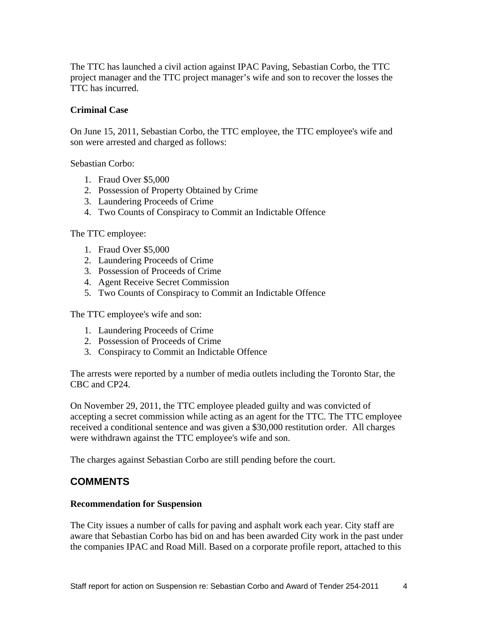The TTC has launched a civil action against IPAC Paving, Sebastian Corbo, the TTC project manager and the TTC project manager's wife and son to recover the losses the TTC has incurred.

#### **Criminal Case**

On June 15, 2011, Sebastian Corbo, the TTC employee, the TTC employee's wife and son were arrested and charged as follows:

Sebastian Corbo:

- 1. Fraud Over \$5,000
- 2. Possession of Property Obtained by Crime
- 3. Laundering Proceeds of Crime
- 4. Two Counts of Conspiracy to Commit an Indictable Offence

The TTC employee:

- 1. Fraud Over \$5,000
- 2. Laundering Proceeds of Crime
- 3. Possession of Proceeds of Crime
- 4. Agent Receive Secret Commission
- 5. Two Counts of Conspiracy to Commit an Indictable Offence

The TTC employee's wife and son:

- 1. Laundering Proceeds of Crime
- 2. Possession of Proceeds of Crime
- 3. Conspiracy to Commit an Indictable Offence

The arrests were reported by a number of media outlets including the Toronto Star, the CBC and CP24.

On November 29, 2011, the TTC employee pleaded guilty and was convicted of accepting a secret commission while acting as an agent for the TTC. The TTC employee received a conditional sentence and was given a \$30,000 restitution order. All charges were withdrawn against the TTC employee's wife and son.

The charges against Sebastian Corbo are still pending before the court.

## **COMMENTS**

#### **Recommendation for Suspension**

The City issues a number of calls for paving and asphalt work each year. City staff are aware that Sebastian Corbo has bid on and has been awarded City work in the past under the companies IPAC and Road Mill. Based on a corporate profile report, attached to this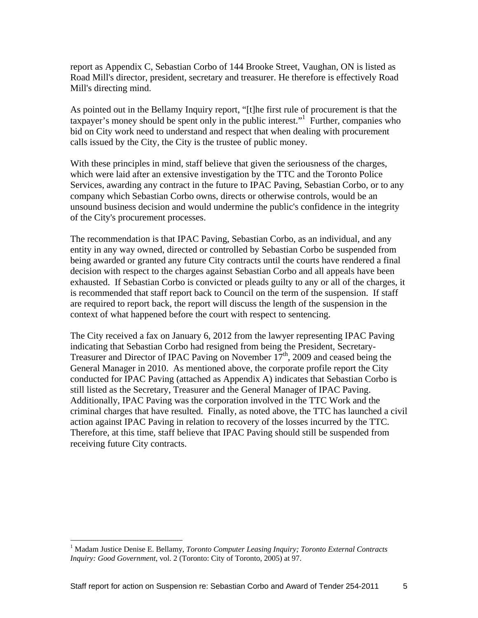report as Appendix C, Sebastian Corbo of 144 Brooke Street, Vaughan, ON is listed as Road Mill's director, president, secretary and treasurer. He therefore is effectively Road Mill's directing mind.

As pointed out in the Bellamy Inquiry report, "[t]he first rule of procurement is that the taxpayer's money should be spent only in the public interest."<sup>1</sup> Further, companies who bid on City work need to understand and respect that when dealing with procurement calls issued by the City, the City is the trustee of public money.

With these principles in mind, staff believe that given the seriousness of the charges, which were laid after an extensive investigation by the TTC and the Toronto Police Services, awarding any contract in the future to IPAC Paving, Sebastian Corbo, or to any company which Sebastian Corbo owns, directs or otherwise controls, would be an unsound business decision and would undermine the public's confidence in the integrity of the City's procurement processes.

The recommendation is that IPAC Paving, Sebastian Corbo, as an individual, and any entity in any way owned, directed or controlled by Sebastian Corbo be suspended from being awarded or granted any future City contracts until the courts have rendered a final decision with respect to the charges against Sebastian Corbo and all appeals have been exhausted. If Sebastian Corbo is convicted or pleads guilty to any or all of the charges, it is recommended that staff report back to Council on the term of the suspension. If staff are required to report back, the report will discuss the length of the suspension in the context of what happened before the court with respect to sentencing.

The City received a fax on January 6, 2012 from the lawyer representing IPAC Paving indicating that Sebastian Corbo had resigned from being the President, Secretary- Treasurer and Director of IPAC Paving on November  $17<sup>th</sup>$ , 2009 and ceased being the General Manager in 2010. As mentioned above, the corporate profile report the City conducted for IPAC Paving (attached as Appendix A) indicates that Sebastian Corbo is still listed as the Secretary, Treasurer and the General Manager of IPAC Paving. Additionally, IPAC Paving was the corporation involved in the TTC Work and the criminal charges that have resulted. Finally, as noted above, the TTC has launched a civil action against IPAC Paving in relation to recovery of the losses incurred by the TTC. Therefore, at this time, staff believe that IPAC Paving should still be suspended from receiving future City contracts.

<sup>&</sup>lt;sup>1</sup> Madam Justice Denise E. Bellamy, *Toronto Computer Leasing Inquiry; Toronto External Contracts Inquiry: Good Government*, vol. 2 (Toronto: City of Toronto, 2005) at 97.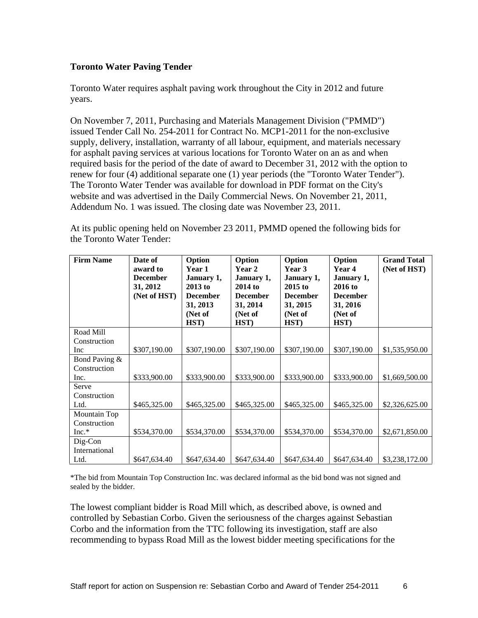#### **Toronto Water Paving Tender**

Toronto Water requires asphalt paving work throughout the City in 2012 and future years.

On November 7, 2011, Purchasing and Materials Management Division ("PMMD") issued Tender Call No. 254-2011 for Contract No. MCP1-2011 for the non-exclusive supply, delivery, installation, warranty of all labour, equipment, and materials necessary for asphalt paving services at various locations for Toronto Water on an as and when required basis for the period of the date of award to December 31, 2012 with the option to renew for four (4) additional separate one (1) year periods (the "Toronto Water Tender"). The Toronto Water Tender was available for download in PDF format on the City's website and was advertised in the Daily Commercial News. On November 21, 2011, Addendum No. 1 was issued. The closing date was November 23, 2011.

At its public opening held on November 23 2011, PMMD opened the following bids for the Toronto Water Tender:

| <b>Firm Name</b> | Date of         | Option          | Option           | Option     | Option          | <b>Grand Total</b>                                                                                                        |
|------------------|-----------------|-----------------|------------------|------------|-----------------|---------------------------------------------------------------------------------------------------------------------------|
|                  | award to        | Year 1          | Year 2           | Year 3     | Year 4          | (Net of HST)                                                                                                              |
|                  | <b>December</b> | <b>January</b>  | <b>January</b> 1 | January 1, | January 1,      |                                                                                                                           |
|                  | 31, 2012        | 2013 to         | <b>2014 to</b>   | 2015 to    | <b>2016 to</b>  |                                                                                                                           |
|                  | (Net of HST)    | <b>December</b> | <b>December</b>  | December   | <b>December</b> |                                                                                                                           |
|                  |                 | 31, 2013        | 31, 2014         | 31, 2015   | 31, 2016        |                                                                                                                           |
|                  |                 | (Net of         | (Net of          | (Net of    | (Net of         |                                                                                                                           |
|                  |                 | HST)            | HST)             | HST)       | HST)            |                                                                                                                           |
| Road Mill        |                 |                 |                  |            |                 |                                                                                                                           |
| Construction     |                 |                 |                  |            |                 |                                                                                                                           |
| Inc              | \$307,190.00    |                 |                  |            |                 | $\vert$ \$307,190.00 $\vert$ \$307,190.00 $\vert$ \$307,190.00 $\vert$ \$307,190.00 $\vert$ \$1,535,950.00                |
| Bond Paving &    |                 |                 |                  |            |                 |                                                                                                                           |
| Construction     |                 |                 |                  |            |                 |                                                                                                                           |
| Inc.             | \$333,900.00    | \$333,900.00    |                  |            |                 | $\left  \frac{1}{3333,900.00} \right  \frac{1}{3333,900.00} \left  \frac{1}{3333,900.00} \right  \frac{1}{31,669,500.00}$ |
| Serve            |                 |                 |                  |            |                 |                                                                                                                           |
| Construction     |                 |                 |                  |            |                 |                                                                                                                           |
| Ltd.             | \$465,325.00    |                 |                  |            |                 | $\vert$ \$465,325.00 $\vert$ \$465,325.00 $\vert$ \$465,325.00 $\vert$ \$465,325.00 $\vert$ \$2,326,625.00                |
| Mountain Top     |                 |                 |                  |            |                 |                                                                                                                           |
| Construction     |                 |                 |                  |            |                 |                                                                                                                           |
| $Inc.*$          | \$534,370.00    |                 |                  |            |                 | $\vert$ \$534,370.00   \$534,370.00   \$534,370.00   \$534,370.00   \$2,671,850.00                                        |
| Dig-Con          |                 |                 |                  |            |                 |                                                                                                                           |
| International    |                 |                 |                  |            |                 |                                                                                                                           |
| Ltd.             | \$647,634.40    |                 |                  |            |                 | $\vert$ \$647,634.40 $\vert$ \$647,634.40 $\vert$ \$647,634.40 $\vert$ \$647,634.40 $\vert$ \$3,238,172.00 $\vert$        |

\*The bid from Mountain Top Construction Inc. was declared informal as the bid bond was not signed and sealed by the bidder.

The lowest compliant bidder is Road Mill which, as described above, is owned and controlled by Sebastian Corbo. Given the seriousness of the charges against Sebastian Corbo and the information from the TTC following its investigation, staff are also recommending to bypass Road Mill as the lowest bidder meeting specifications for the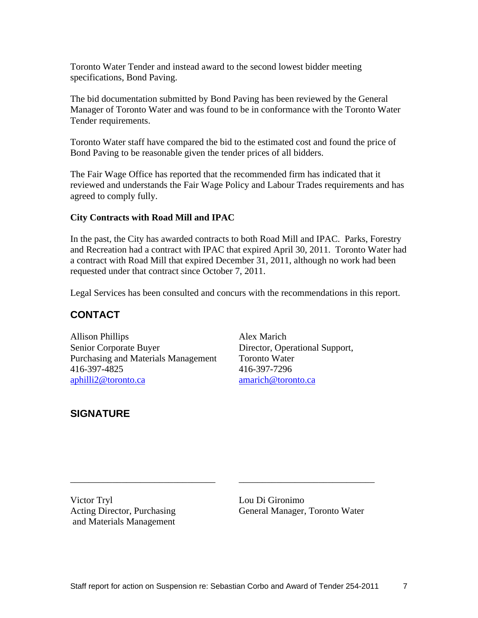Toronto Water Tender and instead award to the second lowest bidder meeting specifications, Bond Paving.

The bid documentation submitted by Bond Paving has been reviewed by the General Manager of Toronto Water and was found to be in conformance with the Toronto Water Tender requirements.

Toronto Water staff have compared the bid to the estimated cost and found the price of Bond Paving to be reasonable given the tender prices of all bidders.

The Fair Wage Office has reported that the recommended firm has indicated that it reviewed and understands the Fair Wage Policy and Labour Trades requirements and has agreed to comply fully.

#### **City Contracts with Road Mill and IPAC**

In the past, the City has awarded contracts to both Road Mill and IPAC. Parks, Forestry and Recreation had a contract with IPAC that expired April 30, 2011. Toronto Water had a contract with Road Mill that expired December 31, 2011, although no work had been requested under that contract since October 7, 2011.

Legal Services has been consulted and concurs with the recommendations in this report.

# **CONTACT**

Allison Phillips Alex Marich Senior Corporate Buyer Director, Operational Support, Purchasing and Materials Management Toronto Water 416-397-4825 416-397-7296 aphilli2@toronto.ca amarich@toronto.ca amarich@toronto.ca

# **SIGNATURE**

and Materials Management

Victor Tryl Lou Di Gironimo Acting Director, Purchasing General Manager, Toronto Water

 $\overline{\phantom{a}}$  , and the contract of the contract of the contract of the contract of the contract of the contract of the contract of the contract of the contract of the contract of the contract of the contract of the contrac